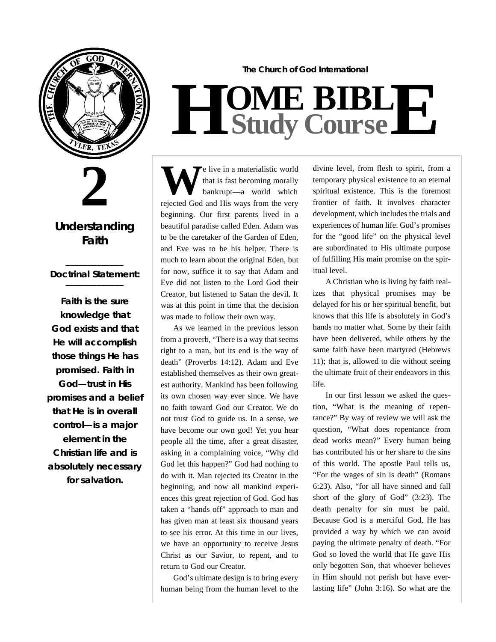

**2**

**Understanding Faith**

#### **\_\_\_\_\_\_\_\_\_\_\_\_\_** *Doctrinal Statement:* **\_\_\_\_\_\_\_\_\_\_\_\_\_**

**Faith is the sure knowledge that God exists and that He will accomplish those things He has p romised. Faith in God—trust in His p romises and a belief that He is in overall** control—is a major **element in the Christian life and is absolutely necessary for salvation.**

## $H$  **Study Study Cour BIB s e L E**

**The Church of God International**

**W E** live in a materialistic world<br>
that is fast becoming morally<br>
bankrupt—a world which<br>
rejected God and His ways from the very e live in a materialistic world that is fast becoming morally bankrupt—a world which beginning. Our first parents lived in a beautiful paradise called Eden. Adam was to be the caretaker of the Garden of Eden, and Eve was to be his helper. There is much to learn about the original Eden, but for now, suffice it to say that Adam and Eve did not listen to the Lord God their Creator, but listened to Satan the devil. It was at this point in time that the decision was made to follow their own way.

As we learned in the previous lesson from a proverb, "There is a way that seems right to a man, but its end is the way of death" (Proverbs 14:12). Adam and Eve established themselves as their own greatest authority. Mankind has been following its own chosen way ever since. We have no faith toward God our Creator. We do not trust God to guide us. In a sense, we have become our own god! Yet you hear people all the time, after a great disaster, asking in a complaining voice, "Why did God let this happen?" God had nothing to do with it. Man rejected its Creator in the beginning, and now all mankind experiences this great rejection of God. God has taken a "hands off" approach to man and has given man at least six thousand years to see his error. At this time in our lives, we have an opportunity to receive Jesus Christ as our Savior, to repent, and to return to God our Creator.

God's ultimate design is to bring every human being from the human level to the divine level, from flesh to spirit, from a temporary physical existence to an eternal spiritual existence. This is the foremost frontier of faith. It involves character development, which includes the trials and experiences of human life. God's promises for the "good life" on the physical level are subordinated to His ultimate purpose of fulfilling His main promise on the spiritual level.

A Christian who is living by faith realizes that physical promises may be delayed for his or her spiritual benefit, but knows that this life is absolutely in God's hands no matter what. Some by their faith have been delivered, while others by the same faith have been martyred (Hebrews 11); that is, allowed to die without seeing the ultimate fruit of their endeavors in this life.

In our first lesson we asked the question, "What is the meaning of repentance?" By way of review we will ask the question, "What does repentance from dead works mean?" Every human being has contributed his or her share to the sins of this world. The apostle Paul tells us, "For the wages of sin is death" (Romans 6:23). Also, "for all have sinned and fall short of the glory of God" (3:23). The death penalty for sin must be paid. Because God is a merciful God, He has provided a way by which we can avoid paying the ultimate penalty of death. "For God so loved the world that He gave His only begotten Son, that whoever believes in Him should not perish but have everlasting life" (John 3:16). So what are the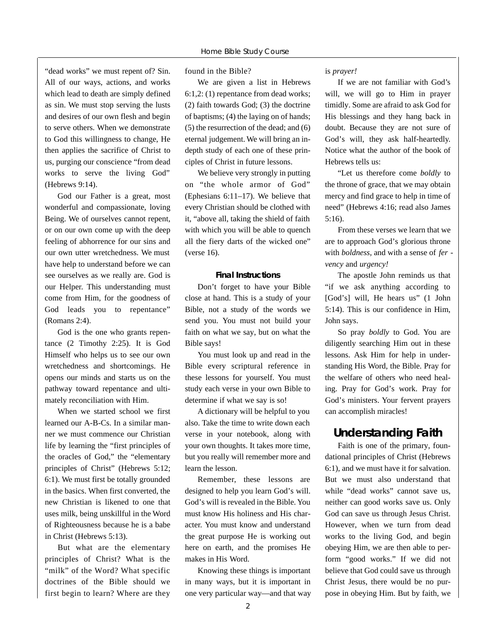"dead works" we must repent of? Sin. All of our ways, actions, and works which lead to death are simply defined as sin. We must stop serving the lusts and desires of our own flesh and begin to serve others. When we demonstrate to God this willingness to change, He then applies the sacrifice of Christ to us, purging our conscience "from dead works to serve the living God" (Hebrews 9:14).

God our Father is a great, most wonderful and compassionate, loving Being. We of ourselves cannot repent, or on our own come up with the deep feeling of abhorrence for our sins and our own utter wretchedness. We must have help to understand before we can see ourselves as we really are. God is our Helper. This understanding must come from Him, for the goodness of God leads you to repentance" (Romans 2:4).

God is the one who grants repentance (2 Timothy 2:25). It is God Himself who helps us to see our own wretchedness and shortcomings. He opens our minds and starts us on the pathway toward repentance and ultimately reconciliation with Him.

When we started school we first learned our A-B-Cs. In a similar manner we must commence our Christian life by learning the "first principles of the oracles of God," the "elementary principles of Christ" (Hebrews 5:12; 6:1). We must first be totally grounded in the basics. When first converted, the new Christian is likened to one that uses milk, being unskillful in the Word of Righteousness because he is a babe in Christ (Hebrews 5:13).

But what are the elementary principles of Christ? What is the "milk" of the Word? What specific doctrines of the Bible should we first begin to learn? Where are they

found in the Bible?

We are given a list in Hebrews 6:1,2: (1) repentance from dead works; (2) faith towards God; (3) the doctrine of baptisms; (4) the laying on of hands; (5) the resurrection of the dead; and (6) eternal judgement. We will bring an indepth study of each one of these principles of Christ in future lessons.

We believe very strongly in putting on "the whole armor of God" (Ephesians 6:11–17). We believe that every Christian should be clothed with it, "above all, taking the shield of faith with which you will be able to quench all the fiery darts of the wicked one" (verse 16).

#### **Final Instructions**

Don't forget to have your Bible close at hand. This is a study of your Bible, not a study of the words we send you. You must not build your faith on what we say, but on what the Bible says!

You must look up and read in the Bible every scriptural reference in these lessons for yourself. You must study each verse in your own Bible to determine if what we say is so!

A dictionary will be helpful to you also. Take the time to write down each verse in your notebook, along with your own thoughts. It takes more time, but you really will remember more and learn the lesson.

Remember, these lessons are designed to help you learn God's will. God's will is revealed in the Bible. You must know His holiness and His character. You must know and understand the great purpose He is working out here on earth, and the promises He makes in His Word.

Knowing these things is important in many ways, but it is important in one very particular way—and that way is *prayer!*

If we are not familiar with God's will, we will go to Him in prayer timidly. Some are afraid to ask God for His blessings and they hang back in doubt. Because they are not sure of God's will, they ask half-heartedly. Notice what the author of the book of Hebrews tells us:

"Let us therefore come *boldly* to the throne of grace, that we may obtain mercy and find grace to help in time of need" (Hebrews 4:16; read also James 5:16).

From these verses we learn that we are to approach God's glorious throne with *boldness*, and with a sense of *fer vency* and *urgency!*

The apostle John reminds us that "if we ask anything according to [God's] will, He hears us" (1 John 5:14). This is our confidence in Him, John says.

So pray *boldly* to God. You are diligently searching Him out in these lessons. Ask Him for help in understanding His Word, the Bible. Pray for the welfare of others who need healing. Pray for God's work. Pray for God's ministers. Your fervent prayers can accomplish miracles!

#### **Understanding Faith**

Faith is one of the primary, foundational principles of Christ (Hebrews 6:1), and we must have it for salvation. But we must also understand that while "dead works" cannot save us, neither can good works save us. Only God can save us through Jesus Christ. However, when we turn from dead works to the living God, and begin obeying Him, we are then able to perform "good works." If we did not believe that God could save us through Christ Jesus, there would be no purpose in obeying Him. But by faith, we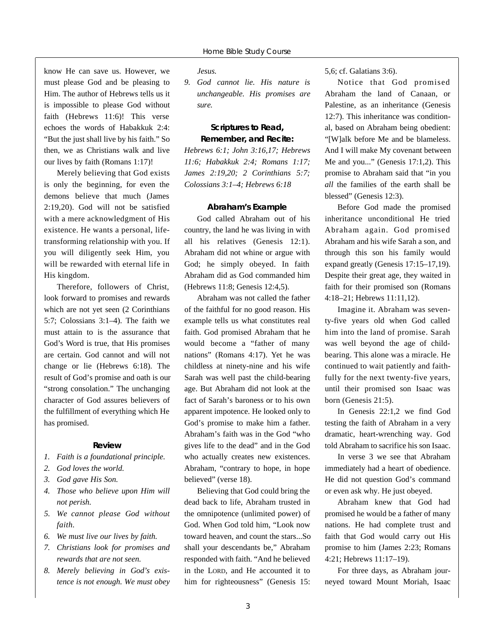know He can save us. However, we must please God and be pleasing to Him. The author of Hebrews tells us it is impossible to please God without faith (Hebrews 11:6)! This verse echoes the words of Habakkuk 2:4: "But the just shall live by his faith." So then, we as Christians walk and live our lives by faith (Romans 1:17)!

Merely believing that God exists is only the beginning, for even the demons believe that much (James 2:19,20). God will not be satisfied with a mere acknowledgment of His existence. He wants a personal, lifetransforming relationship with you. If you will diligently seek Him, you will be rewarded with eternal life in His kingdom.

Therefore, followers of Christ, look forward to promises and rewards which are not yet seen (2 Corinthians 5:7; Colossians 3:1–4). The faith we must attain to is the assurance that God's Word is true, that His promises are certain. God cannot and will not change or lie (Hebrews 6:18). The result of God's promise and oath is our "strong consolation." The unchanging character of God assures believers of the fulfillment of everything which He has promised.

#### **Review**

- *1. Faith is a foundational principle.*
- *2. God loves the world.*
- *3. God gave His Son.*
- *4. Those who believe upon Him will not perish.*
- *5. We cannot please God without*   $faith.$
- *6. We must live our lives by faith.*
- *7. Christians look for promises and rewards that are not seen.*
- 8. Merely believing in God's exis*tence is not enough. We must obey*

*Jesus.*

*9. God cannot lie. His nature is unchangeable. His promises are s u re .*

#### **Scriptures to Read, Remember, and Recite:**

*Hebrews 6:1; John 3:16,17; Hebrews 11:6; Habakkuk 2:4; Romans 1:17; James 2:19,20; 2 Corinthians 5:7; Colossians 3:1–4; Hebrews 6:18*

#### **Abraham's Example**

God called Abraham out of his country, the land he was living in with all his relatives (Genesis 12:1). Abraham did not whine or argue with God; he simply obeyed. In faith Abraham did as God commanded him (Hebrews 11:8; Genesis 12:4,5).

Abraham was not called the father of the faithful for no good reason. His example tells us what constitutes real faith. God promised Abraham that he would become a "father of many nations" (Romans 4:17). Yet he was childless at ninety-nine and his wife Sarah was well past the child-bearing age. But Abraham did not look at the fact of Sarah's baroness or to his own apparent impotence. He looked only to God's promise to make him a father. Abraham's faith was in the God "who gives life to the dead" and in the God who actually creates new existences. Abraham, "contrary to hope, in hope believed" (verse 18).

Believing that God could bring the dead back to life, Abraham trusted in the omnipotence (unlimited power) of God. When God told him, "Look now toward heaven, and count the stars...So shall your descendants be," Abraham responded with faith. "And he believed in the LORD, and He accounted it to him for righteousness" (Genesis 15:

5,6; cf. Galatians 3:6).

Notice that God promised Abraham the land of Canaan, or Palestine, as an inheritance (Genesis 12:7). This inheritance was conditional, based on Abraham being obedient: "[W]alk before Me and be blameless. And I will make My covenant between Me and you..." (Genesis 17:1,2). This promise to Abraham said that "in you *all* the families of the earth shall be blessed" (Genesis 12:3).

Before God made the promised inheritance unconditional He tried Abraham again. God promised Abraham and his wife Sarah a son, and through this son his family would expand greatly (Genesis 17:15–17,19). Despite their great age, they waited in faith for their promised son (Romans 4:18–21; Hebrews 11:11,12).

Imagine it. Abraham was seventy-five years old when God called him into the land of promise. Sarah was well beyond the age of childbearing. This alone was a miracle. He continued to wait patiently and faithfully for the next twenty-five years, until their promised son Isaac was born (Genesis 21:5).

In Genesis 22:1,2 we find God testing the faith of Abraham in a very dramatic, heart-wrenching way. God told Abraham to sacrifice his son Isaac.

In verse 3 we see that Abraham immediately had a heart of obedience. He did not question God's command or even ask why. He just obeyed.

Abraham knew that God had promised he would be a father of many nations. He had complete trust and faith that God would carry out His promise to him (James 2:23; Romans 4:21; Hebrews 11:17–19).

For three days, as Abraham journeyed toward Mount Moriah, Isaac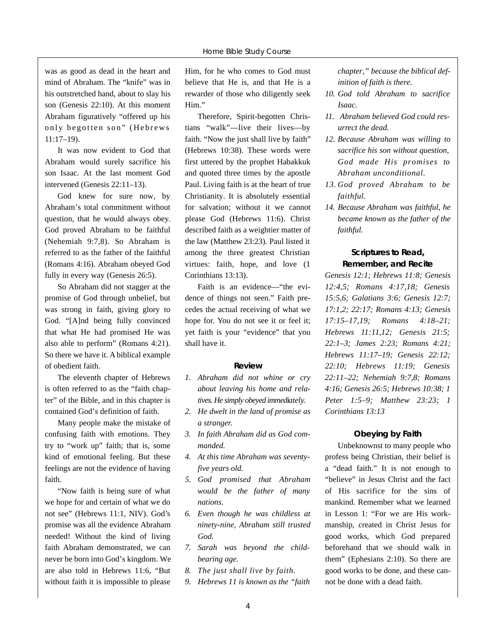was as good as dead in the heart and mind of Abraham. The "knife" was in his outstretched hand, about to slay his son (Genesis 22:10). At this moment Abraham figuratively "offered up his only begotten son" (Hebrews 11:17–19).

It was now evident to God that Abraham would surely sacrifice his son Isaac. At the last moment God intervened (Genesis 22:11–13).

God knew for sure now, by Abraham's total commitment without question, that he would always obey. God proved Abraham to be faithful (Nehemiah 9:7,8). So Abraham is referred to as the father of the faithful (Romans 4:16). Abraham obeyed God fully in every way (Genesis 26:5).

So Abraham did not stagger at the promise of God through unbelief, but was strong in faith, giving glory to God. "[A]nd being fully convinced that what He had promised He was also able to perform" (Romans 4:21). So there we have it. A biblical example of obedient faith.

The eleventh chapter of Hebrews is often referred to as the "faith chapter" of the Bible, and in this chapter is contained God's definition of faith.

Many people make the mistake of confusing faith with emotions. They try to "work up" faith; that is, some kind of emotional feeling. But these feelings are not the evidence of having faith.

"Now faith is being sure of what we hope for and certain of what we do not see" (Hebrews 11:1, NIV). God's promise was all the evidence Abraham needed! Without the kind of living faith Abraham demonstrated, we can never be born into God's kingdom. We are also told in Hebrews 11:6, "But without faith it is impossible to please

Him, for he who comes to God must believe that He is, and that He is a rewarder of those who diligently seek Him."

Therefore, Spirit-begotten Christians "walk"—live their lives—by faith. "Now the just shall live by faith" (Hebrews 10:38). These words were first uttered by the prophet Habakkuk and quoted three times by the apostle Paul. Living faith is at the heart of true Christianity. It is absolutely essential for salvation; without it we cannot please God (Hebrews 11:6). Christ described faith as a weightier matter of the law (Matthew 23:23). Paul listed it among the three greatest Christian virtues: faith, hope, and love (1 Corinthians 13:13).

Faith is an evidence—"the evidence of things not seen." Faith precedes the actual receiving of what we hope for. You do not see it or feel it; yet faith is your "evidence" that you shall have it.

#### **Review**

- *1. Abraham did not whine or cry about leaving his home and relatives. He simply obeyed immediately.*
- *2. He dwelt in the land of promise as a stranger.*
- *3. In faith Abraham did as God commanded.*
- *4. At this time Abraham was seventyfive years old.*
- 5. God promised that Abraham *would be the father of many nations.*
- *6. Even though he was childless at ninety-nine, Abraham still trusted God.*
- *7. Sarah was beyond the childbearing age.*
- *8. The just shall live by faith.*
- *9. Hebrews 11 is known as the "faith*

*chapter," because the biblical definition of faith is there.*

- *10. God told Abraham to sacrifice Isaac.*
- *11. Abraham believed God could resurrect the dead.*
- *12. Because Abraham was willing to sacrifice his son without question, God made His promises to Abraham unconditional.*
- *1 3 . God proved Abraham to be*  $faithful.$
- *14. Because Abraham was faithful, he became known as the father of the faithful.*

#### **Scriptures to Read, Remember, and Recite**

*Genesis 12:1; Hebrews 11:8; Genesis 12:4,5; Romans 4:17,18; Genesis 15:5,6; Galatians 3:6; Genesis 12:7; 17:1,2; 22:17; Romans 4:13; Genesis 17:15–17,19; Romans 4:18–21; H e b rews 11 : 11,12; Genesis 21:5; 22:1–3; James 2:23; Romans 4:21; H e b rews 11:17–19; Genesis 22:12; 22:10; Hebrews 11:19; Genesis 22:11–22; Nehemiah 9:7,8; Romans 4:16; Genesis 26:5; Hebrews 10:38; 1 Peter 1:5–9; Matthew 23:23; 1 Corinthians 13:13*

#### **Obeying by Faith**

Unbeknownst to many people who profess being Christian, their belief is a "dead faith." It is not enough to "believe" in Jesus Christ and the fact of His sacrifice for the sins of mankind. Remember what we learned in Lesson 1: "For we are His workmanship, created in Christ Jesus for good works, which God prepared beforehand that we should walk in them" (Ephesians 2:10). So there are good works to be done, and these cannot be done with a dead faith.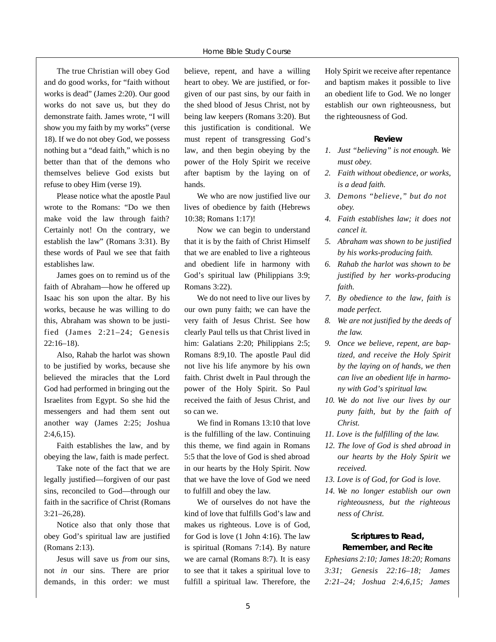The true Christian will obey God and do good works, for "faith without works is dead" (James 2:20). Our good works do not save us, but they do demonstrate faith. James wrote, "I will show you my faith by my works" (verse 18). If we do not obey God, we possess nothing but a "dead faith," which is no better than that of the demons who themselves believe God exists but refuse to obey Him (verse 19).

Please notice what the apostle Paul wrote to the Romans: "Do we then make void the law through faith? Certainly not! On the contrary, we establish the law" (Romans 3:31). By these words of Paul we see that faith establishes law.

James goes on to remind us of the faith of Abraham—how he offered up Isaac his son upon the altar. By his works, because he was willing to do this, Abraham was shown to be justified (James 2:21–24; Genesis 22:16–18).

Also, Rahab the harlot was shown to be justified by works, because she believed the miracles that the Lord God had performed in bringing out the Israelites from Egypt. So she hid the messengers and had them sent out another way (James 2:25; Joshua 2:4,6,15).

Faith establishes the law, and by obeying the law, faith is made perfect.

Take note of the fact that we are legally justified—forgiven of our past sins, reconciled to God—through our faith in the sacrifice of Christ (Romans 3:21–26,28).

Notice also that only those that obey God's spiritual law are justified (Romans 2:13).

Jesus will save us *from* our sins, not *in* our sins. There are prior demands, in this order: we must believe, repent, and have a willing heart to obey. We are justified, or forgiven of our past sins, by our faith in the shed blood of Jesus Christ, not by being law keepers (Romans 3:20). But this justification is conditional. We must repent of transgressing God's law, and then begin obeying by the power of the Holy Spirit we receive after baptism by the laying on of hands.

We who are now justified live our lives of obedience by faith (Hebrews 10:38; Romans 1:17)!

Now we can begin to understand that it is by the faith of Christ Himself that we are enabled to live a righteous and obedient life in harmony with God's spiritual law (Philippians 3:9; Romans 3:22).

We do not need to live our lives by our own puny faith; we can have the very faith of Jesus Christ. See how clearly Paul tells us that Christ lived in him: Galatians 2:20; Philippians 2:5; Romans 8:9,10. The apostle Paul did not live his life anymore by his own faith. Christ dwelt in Paul through the power of the Holy Spirit. So Paul received the faith of Jesus Christ, and so can we.

We find in Romans 13:10 that love is the fulfilling of the law. Continuing this theme, we find again in Romans 5:5 that the love of God is shed abroad in our hearts by the Holy Spirit. Now that we have the love of God we need to fulfill and obey the law.

We of ourselves do not have the kind of love that fulfills God's law and makes us righteous. Love is of God, for God is love (1 John 4:16). The law is spiritual (Romans 7:14). By nature we are carnal (Romans 8:7). It is easy to see that it takes a spiritual love to fulfill a spiritual law. Therefore, the Holy Spirit we receive after repentance and baptism makes it possible to live an obedient life to God. We no longer establish our own righteousness, but the righteousness of God.

#### **Review**

- *1. Just "believing" is not enough. We must obey.*
- *2. Faith without obedience, or works, is a dead faith.*
- *3. Demons "believe," but do not obey.*
- *4. Faith establishes law; it does not cancel it.*
- *5. Abraham was shown to be justified by his works-producing faith.*
- *6. Rahab the harlot was shown to be justified by her works-producing faith.*
- *7. By obedience to the law, faith is made perfect.*
- *8. We are not justified by the deeds of the law.*
- *9. Once we believe, repent, are baptized, and receive the Holy Spirit by the laying on of hands, we then can live an obedient life in harmony with God's spiritual law.*
- *10. We do not live our lives by our puny faith, but by the faith of Christ.*
- *11. Love is the fulfilling of the law.*
- *12. The love of God is shed abroad in our hearts by the Holy Spirit we received.*
- *13. Love is of God, for God is love.*
- *14. We no longer establish our own righteousness, but the righteous ness of Christ.*

#### **Scriptures to Read, Remember, and Recite**

*Ephesians 2:10; James 18:20; Romans 3:31; Genesis 22:16–18; James 2:21–24; Joshua 2:4,6,15; James*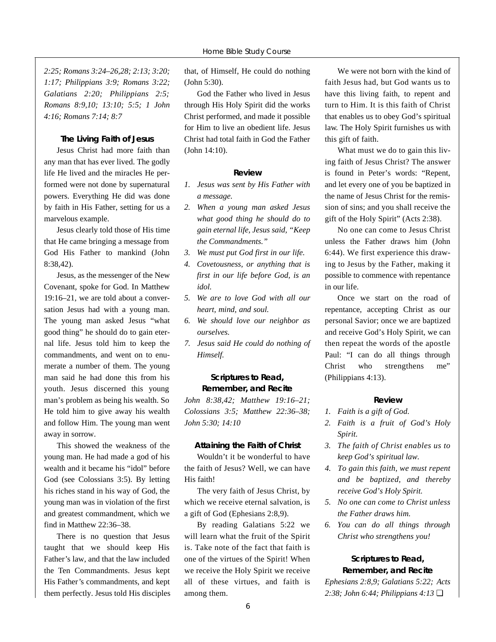*2:25; Romans 3:24–26,28; 2:13; 3:20; 1:17; Philippians 3:9; Romans 3:22; Galatians 2:20; Philippians 2:5; Romans 8:9,10; 13:10; 5:5; 1 John 4:16; Romans 7:14; 8:7*

#### **The Living Faith of Jesus**

Jesus Christ had more faith than any man that has ever lived. The godly life He lived and the miracles He performed were not done by supernatural powers. Everything He did was done by faith in His Father, setting for us a marvelous example.

Jesus clearly told those of His time that He came bringing a message from God His Father to mankind (John 8:38,42).

Jesus, as the messenger of the New Covenant, spoke for God. In Matthew 19:16–21, we are told about a conversation Jesus had with a young man. The young man asked Jesus "what good thing" he should do to gain eternal life. Jesus told him to keep the commandments, and went on to enumerate a number of them. The young man said he had done this from his youth. Jesus discerned this young man's problem as being his wealth. So He told him to give away his wealth and follow Him. The young man went away in sorrow.

This showed the weakness of the young man. He had made a god of his wealth and it became his "idol" before God (see Colossians 3:5). By letting his riches stand in his way of God, the young man was in violation of the first and greatest commandment, which we find in Matthew 22:36–38.

There is no question that Jesus taught that we should keep His Father's law, and that the law included the Ten Commandments. Jesus kept His Father's commandments, and kept them perfectly. Jesus told His disciples that, of Himself, He could do nothing (John 5:30).

God the Father who lived in Jesus through His Holy Spirit did the works Christ performed, and made it possible for Him to live an obedient life. Jesus Christ had total faith in God the Father (John 14:10).

#### **Review**

- *1. Jesus was sent by His Father with a message.*
- *2. When a young man asked Jesus what good thing he should do to gain eternal life, Jesus said, "Keep the Commandments."*
- *3. We must put God first in our life.*
- *4. Covetousness, or anything that is first in our life before God, is an idol.*
- *5. We are to love God with all our heart, mind, and soul.*
- *6. We should love our neighbor as ourselves.*
- *7. Jesus said He could do nothing of Himself.*

#### **Scriptures to Read, Remember, and Recite**

*John 8:38,42; Matthew 19:16–21; Colossians 3:5; Matthew 22:36–38; John 5:30; 14:10*

#### **Attaining the Faith of Christ**

Wouldn't it be wonderful to have the faith of Jesus? Well, we can have His faith!

The very faith of Jesus Christ, by which we receive eternal salvation, is a gift of God (Ephesians 2:8,9).

By reading Galatians 5:22 we will learn what the fruit of the Spirit is. Take note of the fact that faith is one of the virtues of the Spirit! When we receive the Holy Spirit we receive all of these virtues, and faith is among them.

We were not born with the kind of faith Jesus had, but God wants us to have this living faith, to repent and turn to Him. It is this faith of Christ that enables us to obey God's spiritual law. The Holy Spirit furnishes us with this gift of faith.

What must we do to gain this living faith of Jesus Christ? The answer is found in Peter's words: "Repent, and let every one of you be baptized in the name of Jesus Christ for the remission of sins; and you shall receive the gift of the Holy Spirit" (Acts 2:38).

No one can come to Jesus Christ unless the Father draws him (John 6:44). We first experience this drawing to Jesus by the Father, making it possible to commence with repentance in our life.

Once we start on the road of repentance, accepting Christ as our personal Savior; once we are baptized and receive God's Holy Spirit, we can then repeat the words of the apostle Paul: "I can do all things through Christ who strengthens me" (Philippians 4:13).

#### **R e v i e w**

- *1. Faith is a gift of God.*
- *2. Faith is a fruit of God's Holy*  $Spirit.$
- *3. The faith of Christ enables us to keep God's spiritual law.*
- *4. To gain this faith, we must repent and be baptized, and thereby receive God's Holy Spirit.*
- *5. No one can come to Christ unless the Father draws him.*
- *6. You can do all things through Christ who strengthens you!*

#### **Scriptures to Read, Remember, and Recite**

*Ephesians 2:8,9; Galatians 5:22; Acts 2:38; John 6:44; Philippians 4:13* ❏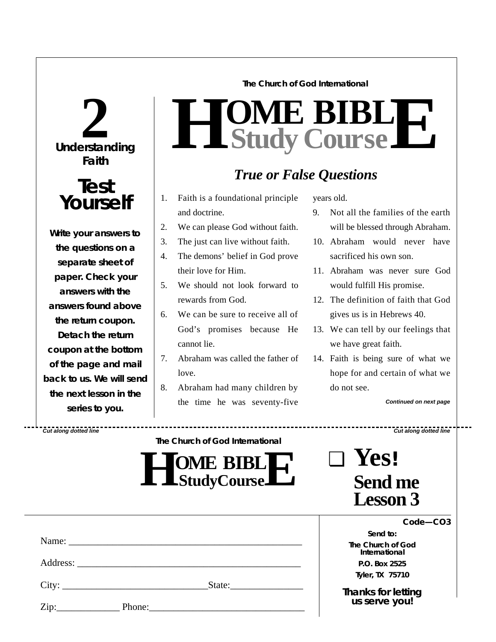# **Understanding 2 Faith**

# **Test Yourself**

**Write your answers to the questions on a separate sheet of paper. Check** *your* **answers with the answers found above the return coupon. Detach the return coupon at the bottom of the page and mail back to us. We will send the next lesson in the series to you.**

**The Church of God International**

### $H$  **Study Study Cour BIB s e L E**

## *True or False Questions*

- 1. Faith is a foundational principle and doctrine.
- 2. We can please God without faith.
- 3. The just can live without faith.
- 4. The demons' belief in God prove their love for Him.
- 5. We should not look forward to rewards from God.
- 6. We can be sure to receive all of God's promises because He cannot lie.
- 7. Abraham was called the father of  $love$
- 8. Abraham had many children by the time he was seventy-five

years old.

- 9. Not all the families of the earth will be blessed through Abraham.
- 10. Abraham would never have sacrificed his own son.
- 11. Abraham was never sure God would fulfill His promise.
- 12. The definition of faith that God gives us is in Hebrews 40.
- 13. We can tell by our feelings that we have great faith.
- 14. Faith is being sure of what we hope for and certain of what we do not see.

*Continued on next page*

*Cut along dotted line Cut along dotted line*

**The Church of God International**

| <b>TOME BIBLIT</b><br><b>L</b> $\blacksquare$ Study Course $\blacksquare$ |  |
|---------------------------------------------------------------------------|--|
|---------------------------------------------------------------------------|--|

| $\blacksquare$ | Yes!                              |
|----------------|-----------------------------------|
|                | <b>Send me</b><br><b>Lesson 3</b> |

*Send to:* **The Church of God International P.O. Box 2525 Tyler, TX 75710**

*Thanks for letting us serve you!*

|                            | City: | State:             |  |
|----------------------------|-------|--------------------|--|
| $\overline{\mathrm{Zip:}}$ |       | Phone: 2008 Phone: |  |